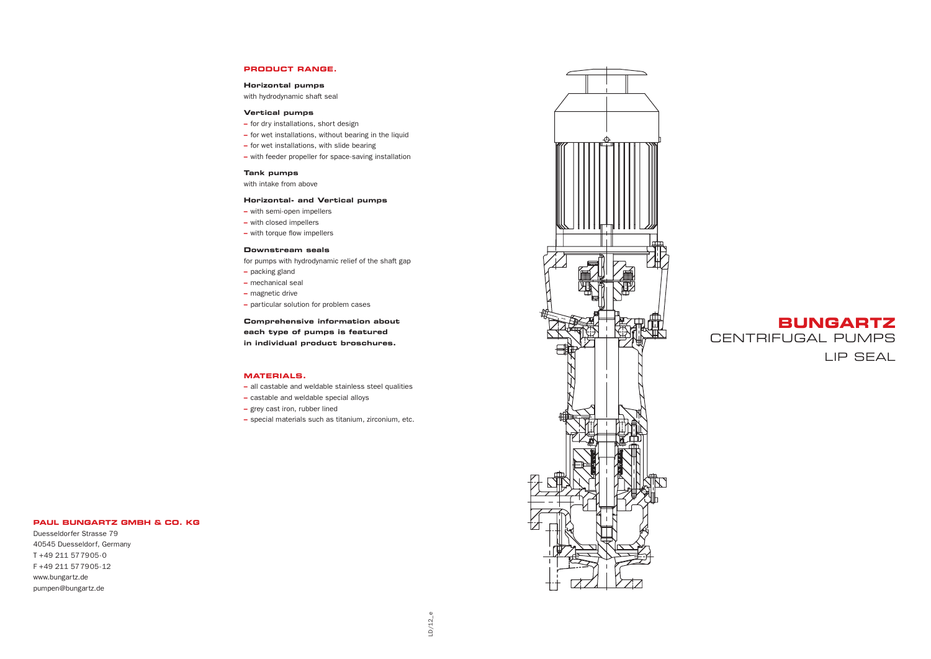### **PRODUCT RANGE.**

#### **Horizontal pumps**

with hydrodynamic shaft seal

### **Vertical pumps**

- **–** for dry installations, short design
- **–** for wet installations, without bearing in the liquid
- **–** for wet installations, with slide bearing
- **–** with feeder propeller for space-saving installation

### **Tank pumps**

with intake from above

### **Horizontal- and Vertical pumps**

- **–** with semi-open impellers
- **–** with closed impellers
- **–** with torque flow impellers

### **Downstream seals**

for pumps with hydrodynamic relief of the shaft gap

- **–** packing gland
- **–** mechanical seal
- **–** magnetic drive
- **–** particular solution for problem cases

**Comprehensive information about each type of pumps is featured in individual product broschures.** 

### **MATERIALS.**

- **–** all castable and weldable stainless steel qualities
- **–** castable and weldable special alloys
- **–** grey cast iron, rubber lined
- **–** special materials such as titanium, zirconium, etc.



Duesseldorfer Strasse 79 40545 Duesseldorf, Germany T +49 211 577905-0 F +49 211 577905-12 www.bungartz.de pumpen@bungartz.de